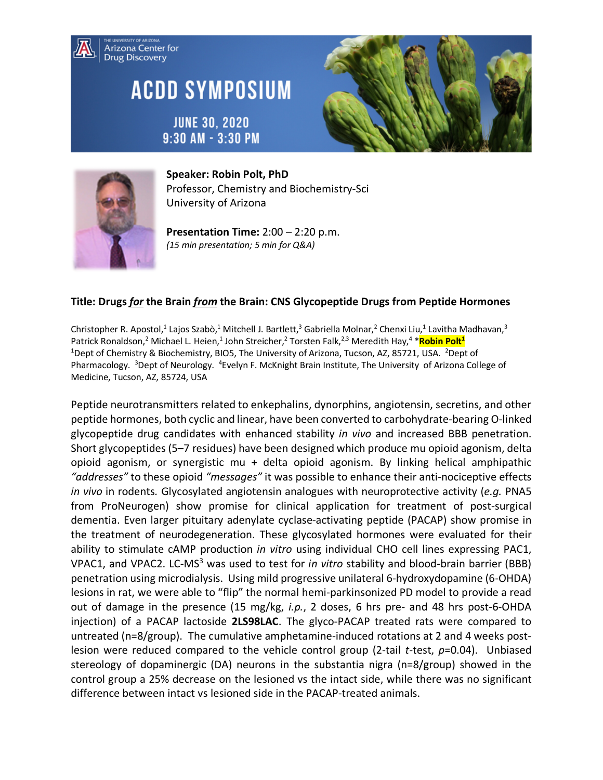

## **ACDD SYMPOSIUM**







**Speaker: Robin Polt, PhD** Professor, Chemistry and Biochemistry-Sci University of Arizona

**Presentation Time:** 2:00 – 2:20 p.m. *(15 min presentation; 5 min for Q&A)*

## **Title: Drugs** *for* **the Brain** *from* **the Brain: CNS Glycopeptide Drugs from Peptide Hormones**

Christopher R. Apostol,<sup>1</sup> Lajos Szabò,<sup>1</sup> Mitchell J. Bartlett,<sup>3</sup> Gabriella Molnar,<sup>2</sup> Chenxi Liu,<sup>1</sup> Lavitha Madhavan,<sup>3</sup> Patrick Ronaldson,<sup>2</sup> Michael L. Heien,<sup>1</sup> John Streicher,<sup>2</sup> Torsten Falk,<sup>2,3</sup> Meredith Hay,<sup>4</sup> \*Robin Polt<sup>1</sup> <sup>1</sup>Dept of Chemistry & Biochemistry, BIO5, The University of Arizona, Tucson, AZ, 85721, USA. <sup>2</sup>Dept of Pharmacology. <sup>3</sup>Dept of Neurology. <sup>4</sup>Evelyn F. McKnight Brain Institute, The University of Arizona College of Medicine, Tucson, AZ, 85724, USA

Peptide neurotransmitters related to enkephalins, dynorphins, angiotensin, secretins, and other peptide hormones, both cyclic and linear, have been converted to carbohydrate-bearing O-linked glycopeptide drug candidates with enhanced stability *in vivo* and increased BBB penetration. Short glycopeptides (5–7 residues) have been designed which produce mu opioid agonism, delta opioid agonism, or synergistic mu + delta opioid agonism. By linking helical amphipathic *"addresses"* to these opioid *"messages"* it was possible to enhance their anti-nociceptive effects *in vivo* in rodents*.* Glycosylated angiotensin analogues with neuroprotective activity (*e.g.* PNA5 from ProNeurogen) show promise for clinical application for treatment of post-surgical dementia. Even larger pituitary adenylate cyclase-activating peptide (PACAP) show promise in the treatment of neurodegeneration. These glycosylated hormones were evaluated for their ability to stimulate cAMP production *in vitro* using individual CHO cell lines expressing PAC1, VPAC1, and VPAC2. LC-MS3 was used to test for *in vitro* stability and blood-brain barrier (BBB) penetration using microdialysis. Using mild progressive unilateral 6-hydroxydopamine (6-OHDA) lesions in rat, we were able to "flip" the normal hemi-parkinsonized PD model to provide a read out of damage in the presence (15 mg/kg, *i.p.*, 2 doses, 6 hrs pre- and 48 hrs post-6-OHDA injection) of a PACAP lactoside **2LS98LAC**. The glyco-PACAP treated rats were compared to untreated (n=8/group). The cumulative amphetamine-induced rotations at 2 and 4 weeks postlesion were reduced compared to the vehicle control group (2-tail *t*-test, *p*=0.04). Unbiased stereology of dopaminergic (DA) neurons in the substantia nigra (n=8/group) showed in the control group a 25% decrease on the lesioned vs the intact side, while there was no significant difference between intact vs lesioned side in the PACAP-treated animals.